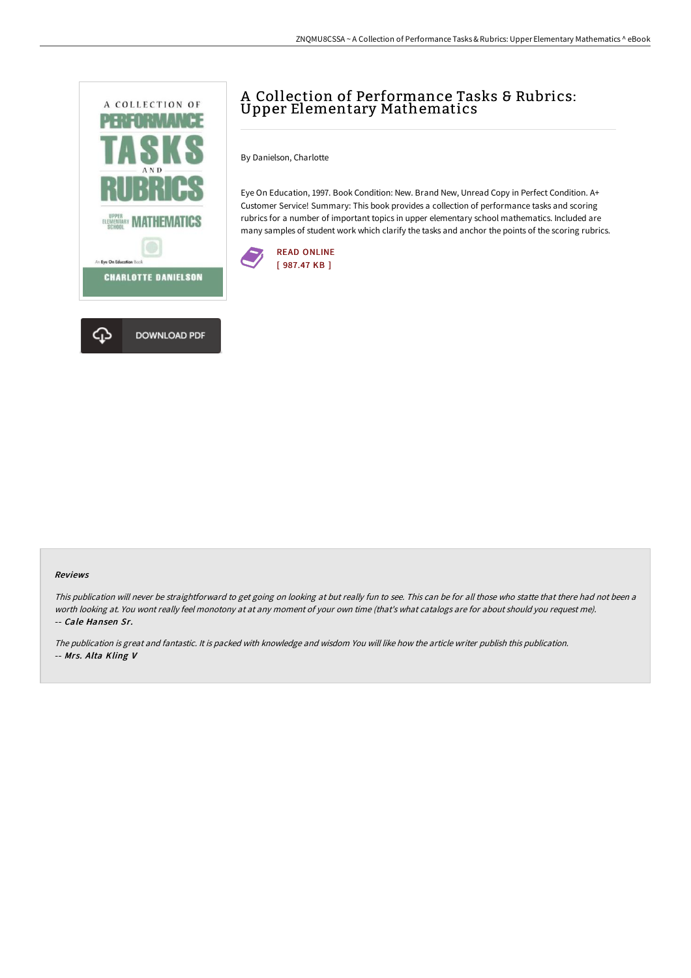

## A Collection of Performance Tasks & Rubrics: Upper Elementary Mathematics

By Danielson, Charlotte

Eye On Education, 1997. Book Condition: New. Brand New, Unread Copy in Perfect Condition. A+ Customer Service! Summary: This book provides a collection of performance tasks and scoring rubrics for a number of important topics in upper elementary school mathematics. Included are many samples of student work which clarify the tasks and anchor the points of the scoring rubrics.



## Reviews

This publication will never be straightforward to get going on looking at but really fun to see. This can be for all those who statte that there had not been <sup>a</sup> worth looking at. You wont really feel monotony at at any moment of your own time (that's what catalogs are for about should you request me). -- Cale Hansen Sr.

The publication is great and fantastic. It is packed with knowledge and wisdom You will like how the article writer publish this publication. -- Mrs. Alta Kling V